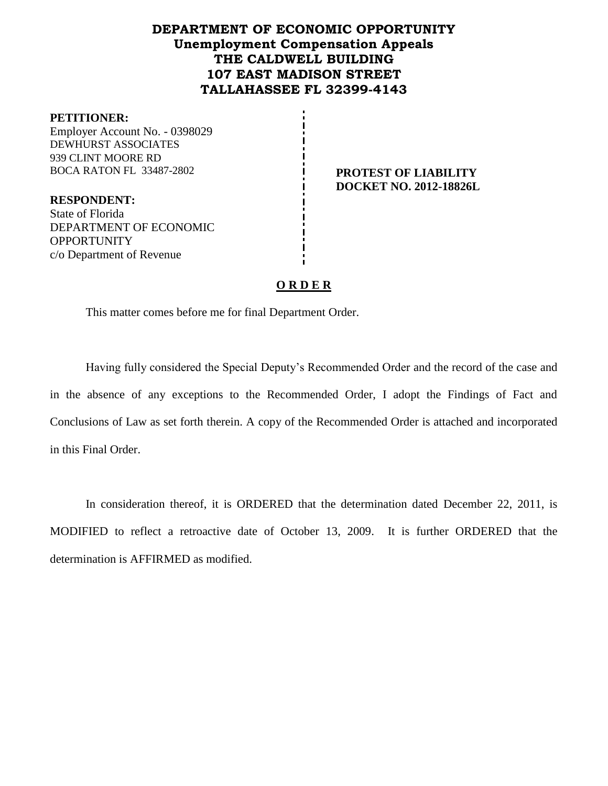# **DEPARTMENT OF ECONOMIC OPPORTUNITY Unemployment Compensation Appeals THE CALDWELL BUILDING 107 EAST MADISON STREET TALLAHASSEE FL 32399-4143**

#### **PETITIONER:**

Employer Account No. - 0398029 DEWHURST ASSOCIATES 939 CLINT MOORE RD BOCA RATON FL 33487-2802 **PROTEST OF LIABILITY** 

**DOCKET NO. 2012-18826L**

**RESPONDENT:** State of Florida DEPARTMENT OF ECONOMIC **OPPORTUNITY** c/o Department of Revenue

#### **O R D E R**

This matter comes before me for final Department Order.

Having fully considered the Special Deputy's Recommended Order and the record of the case and in the absence of any exceptions to the Recommended Order, I adopt the Findings of Fact and Conclusions of Law as set forth therein. A copy of the Recommended Order is attached and incorporated in this Final Order.

In consideration thereof, it is ORDERED that the determination dated December 22, 2011, is MODIFIED to reflect a retroactive date of October 13, 2009. It is further ORDERED that the determination is AFFIRMED as modified.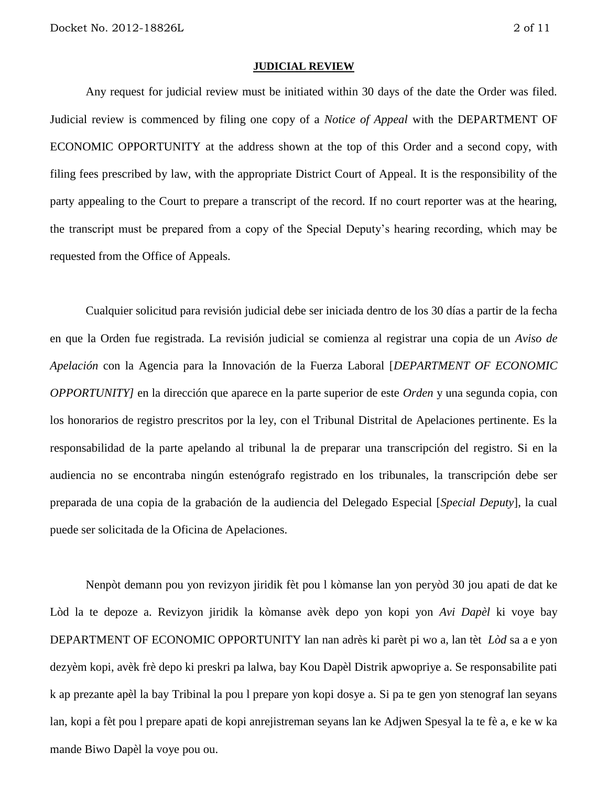#### **JUDICIAL REVIEW**

Any request for judicial review must be initiated within 30 days of the date the Order was filed. Judicial review is commenced by filing one copy of a *Notice of Appeal* with the DEPARTMENT OF ECONOMIC OPPORTUNITY at the address shown at the top of this Order and a second copy, with filing fees prescribed by law, with the appropriate District Court of Appeal. It is the responsibility of the party appealing to the Court to prepare a transcript of the record. If no court reporter was at the hearing, the transcript must be prepared from a copy of the Special Deputy's hearing recording, which may be requested from the Office of Appeals.

Cualquier solicitud para revisión judicial debe ser iniciada dentro de los 30 días a partir de la fecha en que la Orden fue registrada. La revisión judicial se comienza al registrar una copia de un *Aviso de Apelación* con la Agencia para la Innovación de la Fuerza Laboral [*DEPARTMENT OF ECONOMIC OPPORTUNITY]* en la dirección que aparece en la parte superior de este *Orden* y una segunda copia, con los honorarios de registro prescritos por la ley, con el Tribunal Distrital de Apelaciones pertinente. Es la responsabilidad de la parte apelando al tribunal la de preparar una transcripción del registro. Si en la audiencia no se encontraba ningún estenógrafo registrado en los tribunales, la transcripción debe ser preparada de una copia de la grabación de la audiencia del Delegado Especial [*Special Deputy*], la cual puede ser solicitada de la Oficina de Apelaciones.

Nenpòt demann pou yon revizyon jiridik fèt pou l kòmanse lan yon peryòd 30 jou apati de dat ke Lòd la te depoze a. Revizyon jiridik la kòmanse avèk depo yon kopi yon *Avi Dapèl* ki voye bay DEPARTMENT OF ECONOMIC OPPORTUNITY lan nan adrès ki parèt pi wo a, lan tèt *Lòd* sa a e yon dezyèm kopi, avèk frè depo ki preskri pa lalwa, bay Kou Dapèl Distrik apwopriye a. Se responsabilite pati k ap prezante apèl la bay Tribinal la pou l prepare yon kopi dosye a. Si pa te gen yon stenograf lan seyans lan, kopi a fèt pou l prepare apati de kopi anrejistreman seyans lan ke Adjwen Spesyal la te fè a, e ke w ka mande Biwo Dapèl la voye pou ou.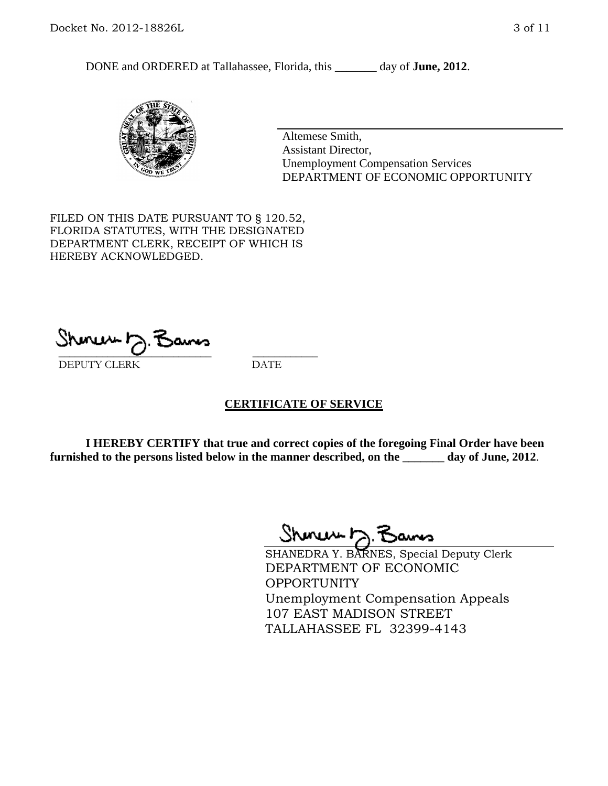DONE and ORDERED at Tallahassee, Florida, this \_\_\_\_\_\_\_ day of **June, 2012**.



Altemese Smith, Assistant Director, Unemployment Compensation Services DEPARTMENT OF ECONOMIC OPPORTUNITY

FILED ON THIS DATE PURSUANT TO § 120.52, FLORIDA STATUTES, WITH THE DESIGNATED DEPARTMENT CLERK, RECEIPT OF WHICH IS HEREBY ACKNOWLEDGED.

 $\mathcal{S}$ hmun $\mapsto$   $\mathcal{S}$ amo DEPUTY CLERK DATE

#### **CERTIFICATE OF SERVICE**

**I HEREBY CERTIFY that true and correct copies of the foregoing Final Order have been furnished to the persons listed below in the manner described, on the \_\_\_\_\_\_\_ day of June, 2012**.

Shoner D. Bams

SHANEDRA Y. BARNES, Special Deputy Clerk DEPARTMENT OF ECONOMIC OPPORTUNITY Unemployment Compensation Appeals 107 EAST MADISON STREET TALLAHASSEE FL 32399-4143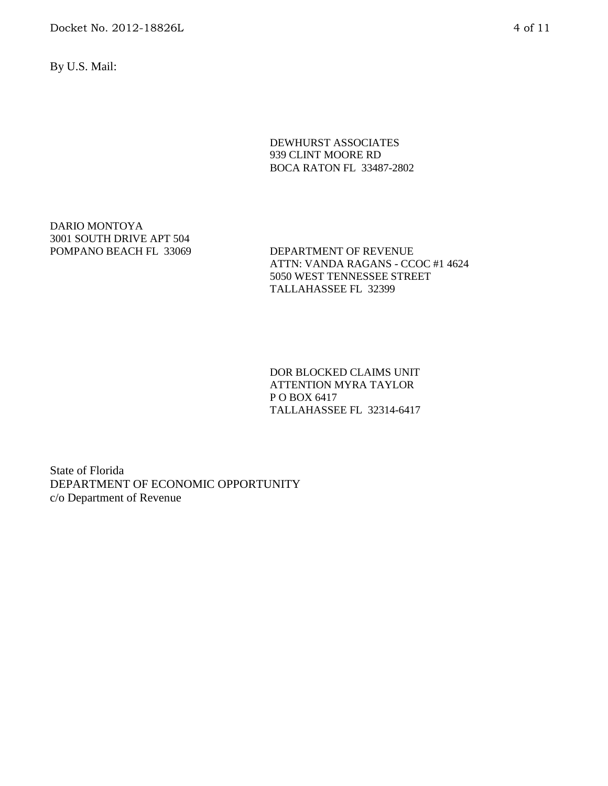Docket No. 2012-18826L 4 of 11

By U.S. Mail:

DEWHURST ASSOCIATES 939 CLINT MOORE RD BOCA RATON FL 33487-2802

DARIO MONTOYA 3001 SOUTH DRIVE APT 504

POMPANO BEACH FL 33069 DEPARTMENT OF REVENUE ATTN: VANDA RAGANS - CCOC #1 4624 5050 WEST TENNESSEE STREET TALLAHASSEE FL 32399

> DOR BLOCKED CLAIMS UNIT ATTENTION MYRA TAYLOR P O BOX 6417 TALLAHASSEE FL 32314-6417

State of Florida DEPARTMENT OF ECONOMIC OPPORTUNITY c/o Department of Revenue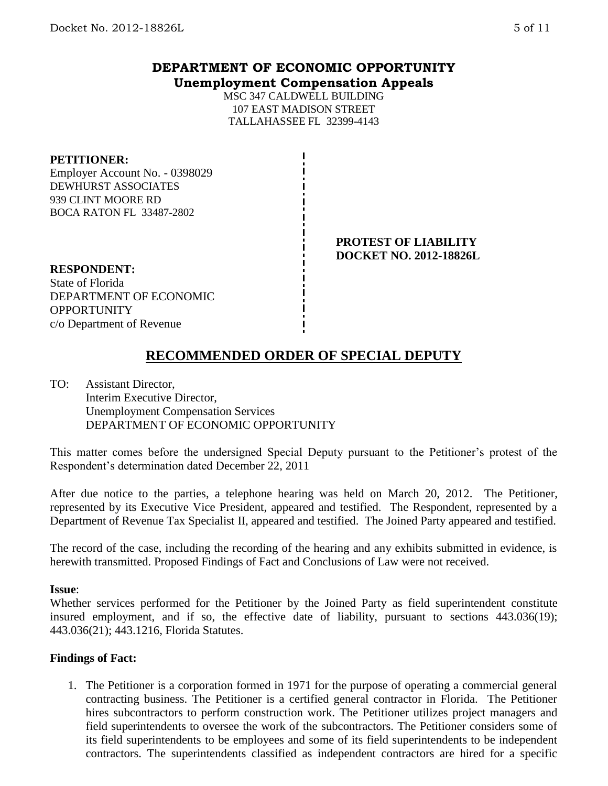## **DEPARTMENT OF ECONOMIC OPPORTUNITY Unemployment Compensation Appeals**

MSC 347 CALDWELL BUILDING 107 EAST MADISON STREET TALLAHASSEE FL 32399-4143

#### **PETITIONER:**

Employer Account No. - 0398029 DEWHURST ASSOCIATES 939 CLINT MOORE RD BOCA RATON FL 33487-2802

#### **PROTEST OF LIABILITY DOCKET NO. 2012-18826L**

**RESPONDENT:** State of Florida DEPARTMENT OF ECONOMIC **OPPORTUNITY** c/o Department of Revenue

# **RECOMMENDED ORDER OF SPECIAL DEPUTY**

TO: Assistant Director, Interim Executive Director, Unemployment Compensation Services DEPARTMENT OF ECONOMIC OPPORTUNITY

This matter comes before the undersigned Special Deputy pursuant to the Petitioner's protest of the Respondent's determination dated December 22, 2011

After due notice to the parties, a telephone hearing was held on March 20, 2012. The Petitioner, represented by its Executive Vice President, appeared and testified. The Respondent, represented by a Department of Revenue Tax Specialist II, appeared and testified. The Joined Party appeared and testified.

The record of the case, including the recording of the hearing and any exhibits submitted in evidence, is herewith transmitted. Proposed Findings of Fact and Conclusions of Law were not received.

#### **Issue**:

Whether services performed for the Petitioner by the Joined Party as field superintendent constitute insured employment, and if so, the effective date of liability, pursuant to sections 443.036(19); 443.036(21); 443.1216, Florida Statutes.

## **Findings of Fact:**

1. The Petitioner is a corporation formed in 1971 for the purpose of operating a commercial general contracting business. The Petitioner is a certified general contractor in Florida. The Petitioner hires subcontractors to perform construction work. The Petitioner utilizes project managers and field superintendents to oversee the work of the subcontractors. The Petitioner considers some of its field superintendents to be employees and some of its field superintendents to be independent contractors. The superintendents classified as independent contractors are hired for a specific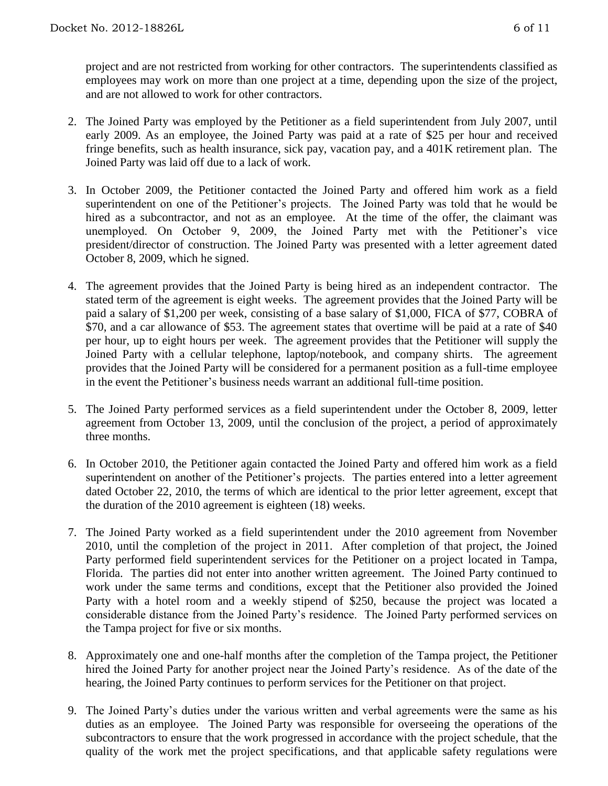project and are not restricted from working for other contractors. The superintendents classified as employees may work on more than one project at a time, depending upon the size of the project, and are not allowed to work for other contractors.

- 2. The Joined Party was employed by the Petitioner as a field superintendent from July 2007, until early 2009. As an employee, the Joined Party was paid at a rate of \$25 per hour and received fringe benefits, such as health insurance, sick pay, vacation pay, and a 401K retirement plan. The Joined Party was laid off due to a lack of work.
- 3. In October 2009, the Petitioner contacted the Joined Party and offered him work as a field superintendent on one of the Petitioner's projects. The Joined Party was told that he would be hired as a subcontractor, and not as an employee. At the time of the offer, the claimant was unemployed. On October 9, 2009, the Joined Party met with the Petitioner's vice president/director of construction. The Joined Party was presented with a letter agreement dated October 8, 2009, which he signed.
- 4. The agreement provides that the Joined Party is being hired as an independent contractor. The stated term of the agreement is eight weeks. The agreement provides that the Joined Party will be paid a salary of \$1,200 per week, consisting of a base salary of \$1,000, FICA of \$77, COBRA of \$70, and a car allowance of \$53. The agreement states that overtime will be paid at a rate of \$40 per hour, up to eight hours per week. The agreement provides that the Petitioner will supply the Joined Party with a cellular telephone, laptop/notebook, and company shirts. The agreement provides that the Joined Party will be considered for a permanent position as a full-time employee in the event the Petitioner's business needs warrant an additional full-time position.
- 5. The Joined Party performed services as a field superintendent under the October 8, 2009, letter agreement from October 13, 2009, until the conclusion of the project, a period of approximately three months.
- 6. In October 2010, the Petitioner again contacted the Joined Party and offered him work as a field superintendent on another of the Petitioner's projects. The parties entered into a letter agreement dated October 22, 2010, the terms of which are identical to the prior letter agreement, except that the duration of the 2010 agreement is eighteen (18) weeks.
- 7. The Joined Party worked as a field superintendent under the 2010 agreement from November 2010, until the completion of the project in 2011. After completion of that project, the Joined Party performed field superintendent services for the Petitioner on a project located in Tampa, Florida. The parties did not enter into another written agreement. The Joined Party continued to work under the same terms and conditions, except that the Petitioner also provided the Joined Party with a hotel room and a weekly stipend of \$250, because the project was located a considerable distance from the Joined Party's residence. The Joined Party performed services on the Tampa project for five or six months.
- 8. Approximately one and one-half months after the completion of the Tampa project, the Petitioner hired the Joined Party for another project near the Joined Party's residence. As of the date of the hearing, the Joined Party continues to perform services for the Petitioner on that project.
- 9. The Joined Party's duties under the various written and verbal agreements were the same as his duties as an employee. The Joined Party was responsible for overseeing the operations of the subcontractors to ensure that the work progressed in accordance with the project schedule, that the quality of the work met the project specifications, and that applicable safety regulations were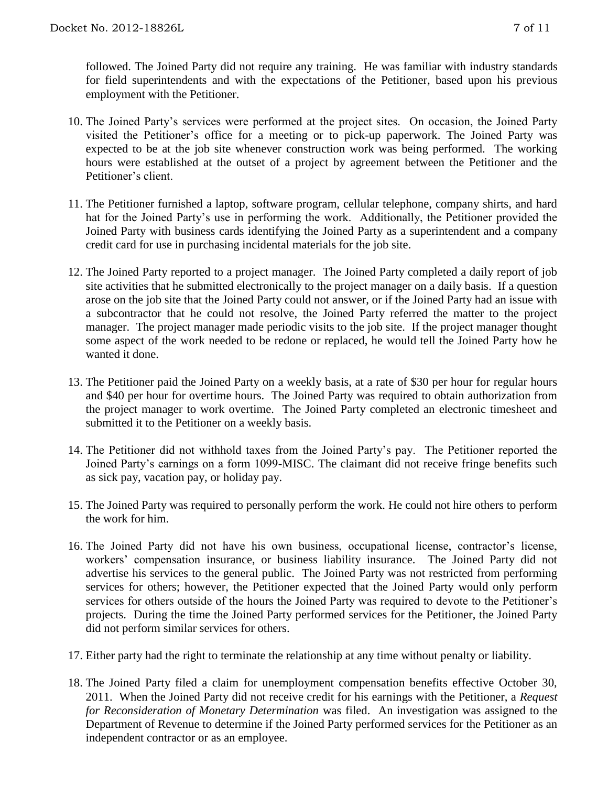followed. The Joined Party did not require any training. He was familiar with industry standards for field superintendents and with the expectations of the Petitioner, based upon his previous employment with the Petitioner.

- 10. The Joined Party's services were performed at the project sites. On occasion, the Joined Party visited the Petitioner's office for a meeting or to pick-up paperwork. The Joined Party was expected to be at the job site whenever construction work was being performed. The working hours were established at the outset of a project by agreement between the Petitioner and the Petitioner's client.
- 11. The Petitioner furnished a laptop, software program, cellular telephone, company shirts, and hard hat for the Joined Party's use in performing the work. Additionally, the Petitioner provided the Joined Party with business cards identifying the Joined Party as a superintendent and a company credit card for use in purchasing incidental materials for the job site.
- 12. The Joined Party reported to a project manager. The Joined Party completed a daily report of job site activities that he submitted electronically to the project manager on a daily basis. If a question arose on the job site that the Joined Party could not answer, or if the Joined Party had an issue with a subcontractor that he could not resolve, the Joined Party referred the matter to the project manager. The project manager made periodic visits to the job site. If the project manager thought some aspect of the work needed to be redone or replaced, he would tell the Joined Party how he wanted it done.
- 13. The Petitioner paid the Joined Party on a weekly basis, at a rate of \$30 per hour for regular hours and \$40 per hour for overtime hours. The Joined Party was required to obtain authorization from the project manager to work overtime. The Joined Party completed an electronic timesheet and submitted it to the Petitioner on a weekly basis.
- 14. The Petitioner did not withhold taxes from the Joined Party's pay. The Petitioner reported the Joined Party's earnings on a form 1099-MISC. The claimant did not receive fringe benefits such as sick pay, vacation pay, or holiday pay.
- 15. The Joined Party was required to personally perform the work. He could not hire others to perform the work for him.
- 16. The Joined Party did not have his own business, occupational license, contractor's license, workers' compensation insurance, or business liability insurance. The Joined Party did not advertise his services to the general public. The Joined Party was not restricted from performing services for others; however, the Petitioner expected that the Joined Party would only perform services for others outside of the hours the Joined Party was required to devote to the Petitioner's projects. During the time the Joined Party performed services for the Petitioner, the Joined Party did not perform similar services for others.
- 17. Either party had the right to terminate the relationship at any time without penalty or liability.
- 18. The Joined Party filed a claim for unemployment compensation benefits effective October 30, 2011. When the Joined Party did not receive credit for his earnings with the Petitioner, a *Request for Reconsideration of Monetary Determination* was filed. An investigation was assigned to the Department of Revenue to determine if the Joined Party performed services for the Petitioner as an independent contractor or as an employee.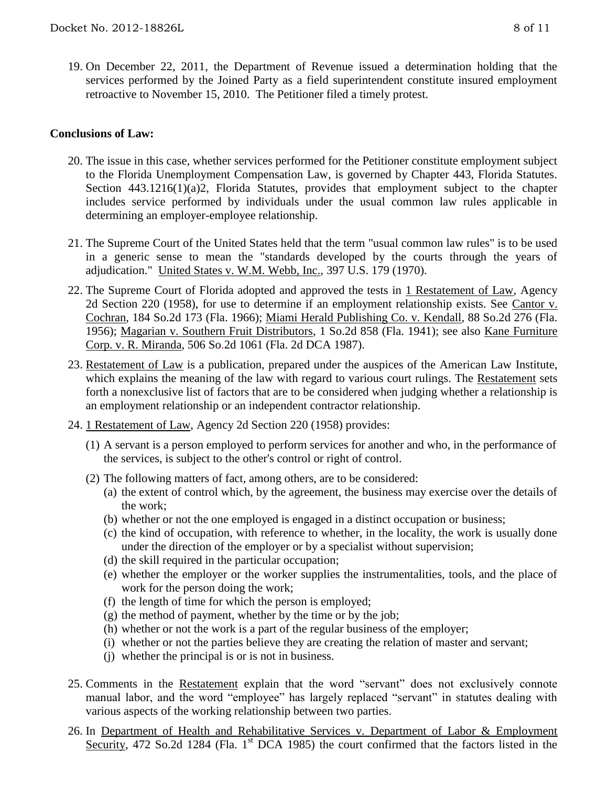19. On December 22, 2011, the Department of Revenue issued a determination holding that the services performed by the Joined Party as a field superintendent constitute insured employment retroactive to November 15, 2010. The Petitioner filed a timely protest.

### **Conclusions of Law:**

- 20. The issue in this case, whether services performed for the Petitioner constitute employment subject to the Florida Unemployment Compensation Law, is governed by Chapter 443, Florida Statutes. Section 443.1216(1)(a)2, Florida Statutes, provides that employment subject to the chapter includes service performed by individuals under the usual common law rules applicable in determining an employer-employee relationship.
- 21. The Supreme Court of the United States held that the term "usual common law rules" is to be used in a generic sense to mean the "standards developed by the courts through the years of adjudication." United States v. W.M. Webb, Inc., 397 U.S. 179 (1970).
- 22. The Supreme Court of Florida adopted and approved the tests in 1 Restatement of Law, Agency 2d Section 220 (1958), for use to determine if an employment relationship exists. See Cantor v. Cochran, 184 So.2d 173 (Fla. 1966); Miami Herald Publishing Co. v. Kendall, 88 So.2d 276 (Fla. 1956); Magarian v. Southern Fruit Distributors, 1 So.2d 858 (Fla. 1941); see also Kane Furniture Corp. v. R. Miranda, 506 So.2d 1061 (Fla. 2d DCA 1987).
- 23. Restatement of Law is a publication, prepared under the auspices of the American Law Institute, which explains the meaning of the law with regard to various court rulings. The Restatement sets forth a nonexclusive list of factors that are to be considered when judging whether a relationship is an employment relationship or an independent contractor relationship.
- 24. 1 Restatement of Law, Agency 2d Section 220 (1958) provides:
	- (1) A servant is a person employed to perform services for another and who, in the performance of the services, is subject to the other's control or right of control.
	- (2) The following matters of fact, among others, are to be considered:
		- (a) the extent of control which, by the agreement, the business may exercise over the details of the work;
		- (b) whether or not the one employed is engaged in a distinct occupation or business;
		- (c) the kind of occupation, with reference to whether, in the locality, the work is usually done under the direction of the employer or by a specialist without supervision;
		- (d) the skill required in the particular occupation;
		- (e) whether the employer or the worker supplies the instrumentalities, tools, and the place of work for the person doing the work;
		- (f) the length of time for which the person is employed;
		- (g) the method of payment, whether by the time or by the job;
		- (h) whether or not the work is a part of the regular business of the employer;
		- (i) whether or not the parties believe they are creating the relation of master and servant;
		- (j) whether the principal is or is not in business.
- 25. Comments in the Restatement explain that the word "servant" does not exclusively connote manual labor, and the word "employee" has largely replaced "servant" in statutes dealing with various aspects of the working relationship between two parties.
- 26. In Department of Health and Rehabilitative Services v. Department of Labor & Employment Security, 472 So.2d 1284 (Fla. 1<sup>st</sup> DCA 1985) the court confirmed that the factors listed in the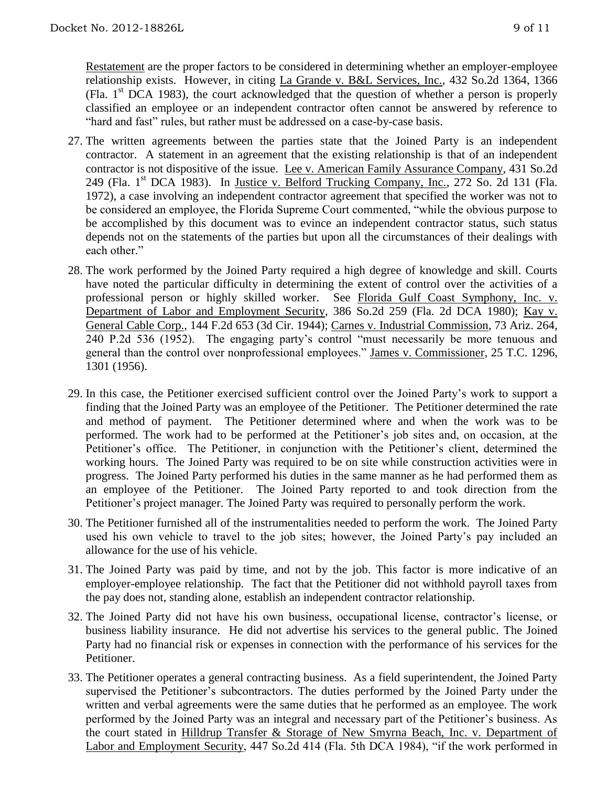Restatement are the proper factors to be considered in determining whether an employer-employee relationship exists. However, in citing La Grande v. B&L Services, Inc., 432 So.2d 1364, 1366 (Fla.  $1<sup>st</sup>$  DCA 1983), the court acknowledged that the question of whether a person is properly classified an employee or an independent contractor often cannot be answered by reference to "hard and fast" rules, but rather must be addressed on a case-by-case basis.

- 27. The written agreements between the parties state that the Joined Party is an independent contractor. A statement in an agreement that the existing relationship is that of an independent contractor is not dispositive of the issue. Lee v. American Family Assurance Company, 431 So.2d 249 (Fla. 1<sup>st</sup> DCA 1983). In Justice v. Belford Trucking Company, Inc., 272 So. 2d 131 (Fla. 1972), a case involving an independent contractor agreement that specified the worker was not to be considered an employee, the Florida Supreme Court commented, "while the obvious purpose to be accomplished by this document was to evince an independent contractor status, such status depends not on the statements of the parties but upon all the circumstances of their dealings with each other."
- 28. The work performed by the Joined Party required a high degree of knowledge and skill. Courts have noted the particular difficulty in determining the extent of control over the activities of a professional person or highly skilled worker. See Florida Gulf Coast Symphony, Inc. v. Department of Labor and Employment Security, 386 So.2d 259 (Fla. 2d DCA 1980); Kay v. General Cable Corp., 144 F.2d 653 (3d Cir. 1944); Carnes v. Industrial Commission, 73 Ariz. 264, 240 P.2d 536 (1952). The engaging party's control "must necessarily be more tenuous and general than the control over nonprofessional employees." James v. Commissioner, 25 T.C. 1296, 1301 (1956).
- 29. In this case, the Petitioner exercised sufficient control over the Joined Party's work to support a finding that the Joined Party was an employee of the Petitioner. The Petitioner determined the rate and method of payment. The Petitioner determined where and when the work was to be performed. The work had to be performed at the Petitioner's job sites and, on occasion, at the Petitioner's office. The Petitioner, in conjunction with the Petitioner's client, determined the working hours. The Joined Party was required to be on site while construction activities were in progress. The Joined Party performed his duties in the same manner as he had performed them as an employee of the Petitioner. The Joined Party reported to and took direction from the Petitioner's project manager. The Joined Party was required to personally perform the work.
- 30. The Petitioner furnished all of the instrumentalities needed to perform the work. The Joined Party used his own vehicle to travel to the job sites; however, the Joined Party's pay included an allowance for the use of his vehicle.
- 31. The Joined Party was paid by time, and not by the job. This factor is more indicative of an employer-employee relationship. The fact that the Petitioner did not withhold payroll taxes from the pay does not, standing alone, establish an independent contractor relationship.
- 32. The Joined Party did not have his own business, occupational license, contractor's license, or business liability insurance. He did not advertise his services to the general public. The Joined Party had no financial risk or expenses in connection with the performance of his services for the Petitioner.
- 33. The Petitioner operates a general contracting business. As a field superintendent, the Joined Party supervised the Petitioner's subcontractors. The duties performed by the Joined Party under the written and verbal agreements were the same duties that he performed as an employee. The work performed by the Joined Party was an integral and necessary part of the Petitioner's business. As the court stated in Hilldrup Transfer & Storage of New Smyrna Beach, Inc. v. Department of Labor and Employment Security, 447 So.2d 414 (Fla. 5th DCA 1984), "if the work performed in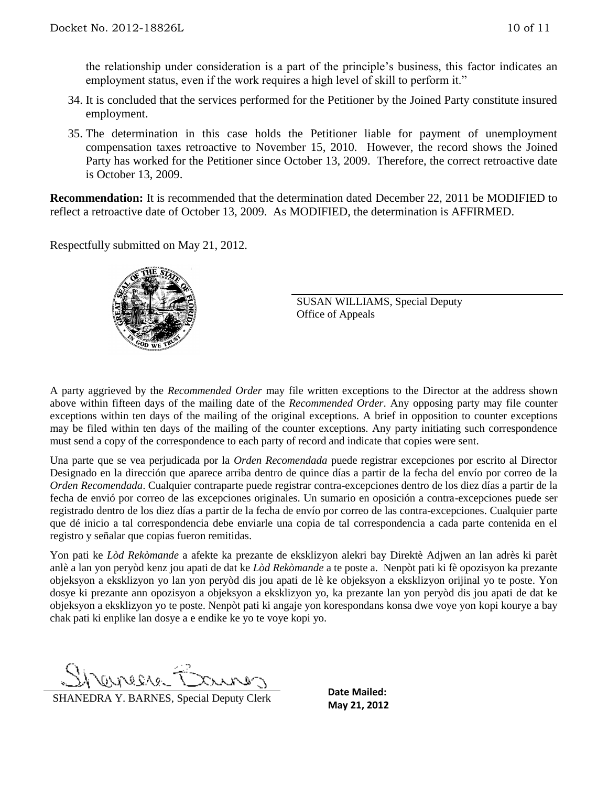the relationship under consideration is a part of the principle's business, this factor indicates an employment status, even if the work requires a high level of skill to perform it."

- 34. It is concluded that the services performed for the Petitioner by the Joined Party constitute insured employment.
- 35. The determination in this case holds the Petitioner liable for payment of unemployment compensation taxes retroactive to November 15, 2010. However, the record shows the Joined Party has worked for the Petitioner since October 13, 2009. Therefore, the correct retroactive date is October 13, 2009.

**Recommendation:** It is recommended that the determination dated December 22, 2011 be MODIFIED to reflect a retroactive date of October 13, 2009. As MODIFIED, the determination is AFFIRMED.

Respectfully submitted on May 21, 2012.



SUSAN WILLIAMS, Special Deputy Office of Appeals

A party aggrieved by the *Recommended Order* may file written exceptions to the Director at the address shown above within fifteen days of the mailing date of the *Recommended Order*. Any opposing party may file counter exceptions within ten days of the mailing of the original exceptions. A brief in opposition to counter exceptions may be filed within ten days of the mailing of the counter exceptions. Any party initiating such correspondence must send a copy of the correspondence to each party of record and indicate that copies were sent.

Una parte que se vea perjudicada por la *Orden Recomendada* puede registrar excepciones por escrito al Director Designado en la dirección que aparece arriba dentro de quince días a partir de la fecha del envío por correo de la *Orden Recomendada*. Cualquier contraparte puede registrar contra-excepciones dentro de los diez días a partir de la fecha de envió por correo de las excepciones originales. Un sumario en oposición a contra-excepciones puede ser registrado dentro de los diez días a partir de la fecha de envío por correo de las contra-excepciones. Cualquier parte que dé inicio a tal correspondencia debe enviarle una copia de tal correspondencia a cada parte contenida en el registro y señalar que copias fueron remitidas.

Yon pati ke *Lòd Rekòmande* a afekte ka prezante de eksklizyon alekri bay Direktè Adjwen an lan adrès ki parèt anlè a lan yon peryòd kenz jou apati de dat ke *Lòd Rekòmande* a te poste a. Nenpòt pati ki fè opozisyon ka prezante objeksyon a eksklizyon yo lan yon peryòd dis jou apati de lè ke objeksyon a eksklizyon orijinal yo te poste. Yon dosye ki prezante ann opozisyon a objeksyon a eksklizyon yo, ka prezante lan yon peryòd dis jou apati de dat ke objeksyon a eksklizyon yo te poste. Nenpòt pati ki angaje yon korespondans konsa dwe voye yon kopi kourye a bay chak pati ki enplike lan dosye a e endike ke yo te voye kopi yo.

CLAREAC

**MANEDRA Y. BARNES, Special Deputy Clerk** Date Mailed:

**Date Mailed:**